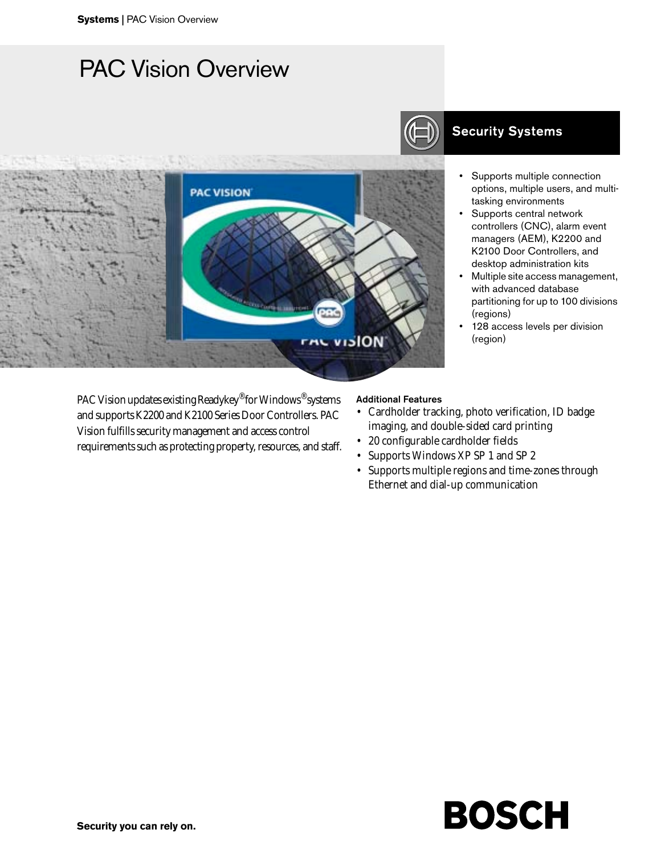# PAC Vision Overview



PAC Vision updates existing Readykey® for Windows® systems and supports K2200 and K2100 Series Door Controllers. PAC Vision fulfills security management and access control requirements such as protecting property, resources, and staff.

## **Security Systems**

- Supports multiple connection options, multiple users, and multitasking environments
- Supports central network controllers (CNC), alarm event managers (AEM), K2200 and K2100 Door Controllers, and desktop administration kits
- Multiple site access management, with advanced database partitioning for up to 100 divisions (regions)
- 128 access levels per division (region)

#### Additional Features

- Cardholder tracking, photo verification, ID badge imaging, and double-sided card printing
- 20 configurable cardholder fields
- Supports Windows XP SP 1 and SP 2
- Supports multiple regions and time-zones through Ethernet and dial-up communication

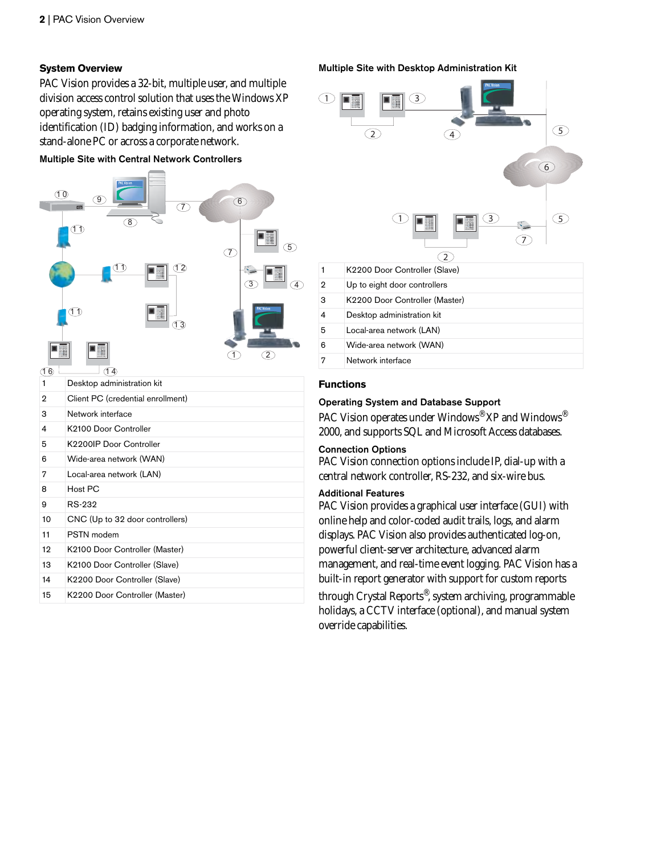### **System Overview**

PAC Vision provides a 32-bit, multiple user, and multiple division access control solution that uses the Windows XP operating system, retains existing user and photo identification (ID) badging information, and works on a stand-alone PC or across a corporate network.

#### Multiple Site with Central Network Controllers



- 
- 13 K2100 Door Controller (Slave) 14 K2200 Door Controller (Slave)
- 15 K2200 Door Controller (Master)

#### Multiple Site with Desktop Administration Kit



#### **Functions**

#### Operating System and Database Support

PAC Vision operates under Windows<sup>®</sup> XP and Windows<sup>®</sup> 2000, and supports SQL and Microsoft Access databases.

#### Connection Options

PAC Vision connection options include IP, dial-up with a central network controller, RS-232, and six-wire bus.

### Additional Features

PAC Vision provides a graphical user interface (GUI) with online help and color-coded audit trails, logs, and alarm displays. PAC Vision also provides authenticated log-on, powerful client-server architecture, advanced alarm management, and real-time event logging. PAC Vision has a built-in report generator with support for custom reports through Crystal Reports®, system archiving, programmable holidays, a CCTV interface (optional), and manual system override capabilities.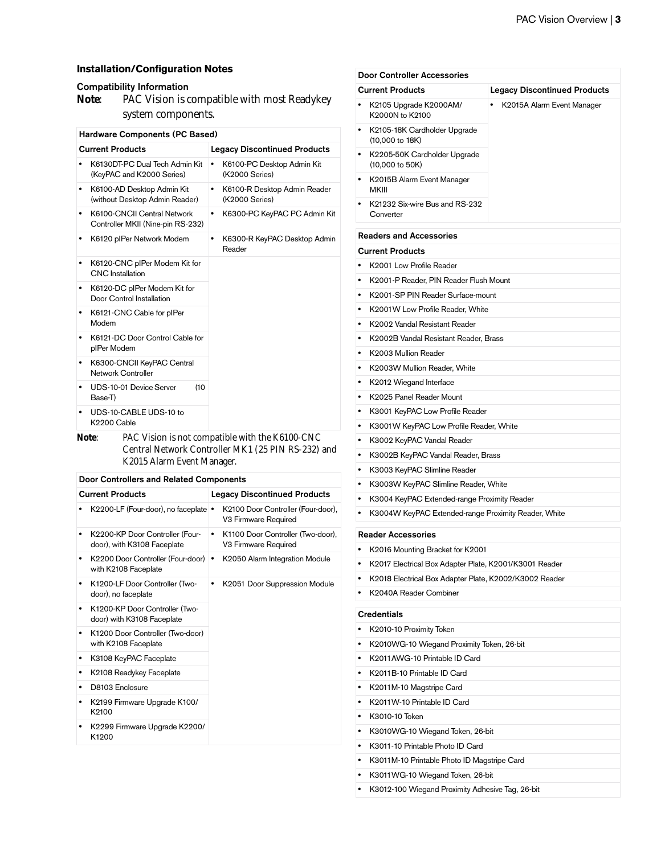#### **Installation/Configuration Notes**

#### Compatibility Information

**Note**: PAC Vision is compatible with most Readykey system components.

| <b>Hardware Components (PC Based)</b>                                     |                                                     |  |
|---------------------------------------------------------------------------|-----------------------------------------------------|--|
| <b>Current Products</b>                                                   | <b>Legacy Discontinued Products</b>                 |  |
| K6130DT-PC Dual Tech Admin Kit<br>(KeyPAC and K2000 Series)               | K6100-PC Desktop Admin Kit<br>٠<br>(K2000 Series)   |  |
| K6100-AD Desktop Admin Kit<br>$\bullet$<br>(without Desktop Admin Reader) | K6100-R Desktop Admin Reader<br>٠<br>(K2000 Series) |  |
| K6100-CNCII Central Network<br>٠<br>Controller MKII (Nine-pin RS-232)     | K6300-PC KeyPAC PC Admin Kit<br>٠                   |  |
| K6120 plPer Network Modem<br>٠                                            | K6300-R KeyPAC Desktop Admin<br>٠<br>Reader         |  |
| K6120-CNC pIPer Modem Kit for<br>٠<br><b>CNC</b> Installation             |                                                     |  |
| K6120-DC plPer Modem Kit for<br>٠<br>Door Control Installation            |                                                     |  |
| K6121-CNC Cable for plPer<br>٠<br>Modem                                   |                                                     |  |
| K6121-DC Door Control Cable for<br>٠<br>plPer Modem                       |                                                     |  |
| K6300-CNCII KeyPAC Central<br>٠<br><b>Network Controller</b>              |                                                     |  |
| (10<br>UDS-10-01 Device Server<br>٠<br>Base-T)                            |                                                     |  |
| UDS-10-CABLE UDS-10 to<br>٠<br>K2200 Cable                                |                                                     |  |
| Note:                                                                     | PAC Vision is not compatible with the K6100-CNC     |  |

**Note**: PAC Vision is not compatible with the K6100-CNC Central Network Controller MK1 (25 PIN RS-232) and K2015 Alarm Event Manager.

#### Door Controllers and Related Components

|   | <b>Current Products</b>                                        |   | <b>Legacy Discontinued Products</b>                        |                               |
|---|----------------------------------------------------------------|---|------------------------------------------------------------|-------------------------------|
|   | K2200-LF (Four-door), no faceplate                             |   | K2100 Door Controller (Four-door),<br>V3 Firmware Required |                               |
|   | K2200-KP Door Controller (Four-<br>door), with K3108 Faceplate | ٠ | K1100 Door Controller (Two-door),<br>V3 Firmware Required  |                               |
|   | K2200 Door Controller (Four-door)<br>with K2108 Faceplate      |   | K2050 Alarm Integration Module                             |                               |
|   | K1200-LF Door Controller (Two-<br>door), no faceplate          |   |                                                            | K2051 Door Suppression Module |
|   | K1200-KP Door Controller (Two-<br>door) with K3108 Faceplate   |   |                                                            |                               |
| ٠ | K1200 Door Controller (Two-door)<br>with K2108 Faceplate       |   |                                                            |                               |
|   | K3108 KeyPAC Faceplate                                         |   |                                                            |                               |
|   | K2108 Readykey Faceplate                                       |   |                                                            |                               |
|   | D8103 Enclosure                                                |   |                                                            |                               |
|   | K2199 Firmware Upgrade K100/<br>K2100                          |   |                                                            |                               |
|   | K2299 Firmware Upgrade K2200/<br>K1200                         |   |                                                            |                               |
|   |                                                                |   |                                                            |                               |

|           | <b>Current Products</b>                                            | <b>Legacy Discontinued Products</b>                  |  |
|-----------|--------------------------------------------------------------------|------------------------------------------------------|--|
|           | K2105 Upgrade K2000AM/<br>K2000N to K2100                          | ٠<br>K2015A Alarm Event Manager                      |  |
|           | K2105-18K Cardholder Upgrade<br>$(10,000 \text{ to } 18\text{K})$  |                                                      |  |
| ٠         | K2205-50K Cardholder Upgrade<br>$(10,000 \text{ to } 50 \text{K})$ |                                                      |  |
|           | K2015B Alarm Event Manager<br>MKIII                                |                                                      |  |
|           | K21232 Six-wire Bus and RS-232<br>Converter                        |                                                      |  |
|           | <b>Readers and Accessories</b>                                     |                                                      |  |
|           | <b>Current Products</b>                                            |                                                      |  |
|           | K2001 Low Profile Reader                                           |                                                      |  |
|           |                                                                    | K2001-P Reader, PIN Reader Flush Mount               |  |
|           | K2001-SP PIN Reader Surface-mount                                  |                                                      |  |
|           | K2001W Low Profile Reader, White                                   |                                                      |  |
|           | K2002 Vandal Resistant Reader                                      |                                                      |  |
|           | K2002B Vandal Resistant Reader, Brass                              |                                                      |  |
|           | K2003 Mullion Reader                                               |                                                      |  |
| ٠         | K2003W Mullion Reader, White                                       |                                                      |  |
| ٠         | K2012 Wiegand Interface                                            |                                                      |  |
|           | K2025 Panel Reader Mount                                           |                                                      |  |
|           |                                                                    | K3001 KeyPAC Low Profile Reader                      |  |
| ٠         | K3001 W KeyPAC Low Profile Reader, White                           |                                                      |  |
|           | K3002 KeyPAC Vandal Reader                                         |                                                      |  |
|           | K3002B KeyPAC Vandal Reader, Brass                                 |                                                      |  |
| $\bullet$ | K3003 KeyPAC Slimline Reader                                       |                                                      |  |
|           | K3003W KeyPAC Slimline Reader, White                               |                                                      |  |
|           | K3004 KeyPAC Extended-range Proximity Reader                       |                                                      |  |
|           |                                                                    | K3004W KeyPAC Extended-range Proximity Reader, White |  |
|           | <b>Reader Accessories</b>                                          |                                                      |  |
| ٠         | K2016 Mounting Bracket for K2001                                   |                                                      |  |
|           | K2017 Electrical Box Adapter Plate, K2001/K3001 Reader             |                                                      |  |
|           | K2018 Electrical Box Adapter Plate, K2002/K3002 Reader             |                                                      |  |
|           | K2040A Reader Combiner                                             |                                                      |  |
|           | <b>Credentials</b>                                                 |                                                      |  |
|           | K2010-10 Proximity Token                                           |                                                      |  |
|           | K2010WG-10 Wiegand Proximity Token, 26-bit                         |                                                      |  |
| $\bullet$ | K2011AWG-10 Printable ID Card                                      |                                                      |  |

**•** K2011B-10 Printable ID Card **•** K2011M-10 Magstripe Card **•** K2011W-10 Printable ID Card

**•** K3010WG-10 Wiegand Token, 26-bit **•** K3011-10 Printable Photo ID Card

**•** K3011WG-10 Wiegand Token, 26-bit

**•** K3011M-10 Printable Photo ID Magstripe Card

**•** K3012-100 Wiegand Proximity Adhesive Tag, 26-bit

**•** K3010-10 Token